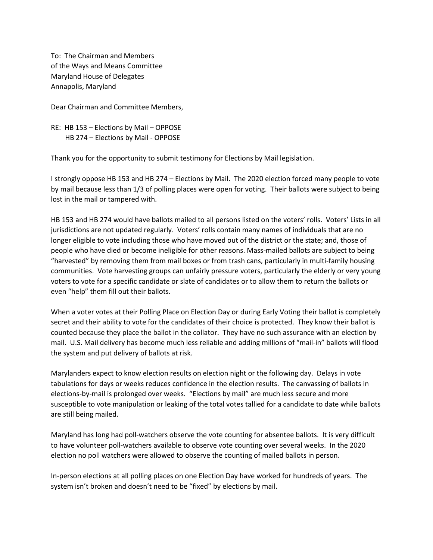To: The Chairman and Members of the Ways and Means Committee Maryland House of Delegates Annapolis, Maryland

Dear Chairman and Committee Members,

RE: HB 153 – Elections by Mail – OPPOSE HB 274 – Elections by Mail - OPPOSE

Thank you for the opportunity to submit testimony for Elections by Mail legislation.

I strongly oppose HB 153 and HB 274 – Elections by Mail. The 2020 election forced many people to vote by mail because less than 1/3 of polling places were open for voting. Their ballots were subject to being lost in the mail or tampered with.

HB 153 and HB 274 would have ballots mailed to all persons listed on the voters' rolls. Voters' Lists in all jurisdictions are not updated regularly. Voters' rolls contain many names of individuals that are no longer eligible to vote including those who have moved out of the district or the state; and, those of people who have died or become ineligible for other reasons. Mass-mailed ballots are subject to being "harvested" by removing them from mail boxes or from trash cans, particularly in multi-family housing communities. Vote harvesting groups can unfairly pressure voters, particularly the elderly or very young voters to vote for a specific candidate or slate of candidates or to allow them to return the ballots or even "help" them fill out their ballots.

When a voter votes at their Polling Place on Election Day or during Early Voting their ballot is completely secret and their ability to vote for the candidates of their choice is protected. They know their ballot is counted because they place the ballot in the collator. They have no such assurance with an election by mail. U.S. Mail delivery has become much less reliable and adding millions of "mail-in" ballots will flood the system and put delivery of ballots at risk.

Marylanders expect to know election results on election night or the following day. Delays in vote tabulations for days or weeks reduces confidence in the election results. The canvassing of ballots in elections-by-mail is prolonged over weeks. "Elections by mail" are much less secure and more susceptible to vote manipulation or leaking of the total votes tallied for a candidate to date while ballots are still being mailed.

Maryland has long had poll-watchers observe the vote counting for absentee ballots. It is very difficult to have volunteer poll-watchers available to observe vote counting over several weeks. In the 2020 election no poll watchers were allowed to observe the counting of mailed ballots in person.

In-person elections at all polling places on one Election Day have worked for hundreds of years. The system isn't broken and doesn't need to be "fixed" by elections by mail.